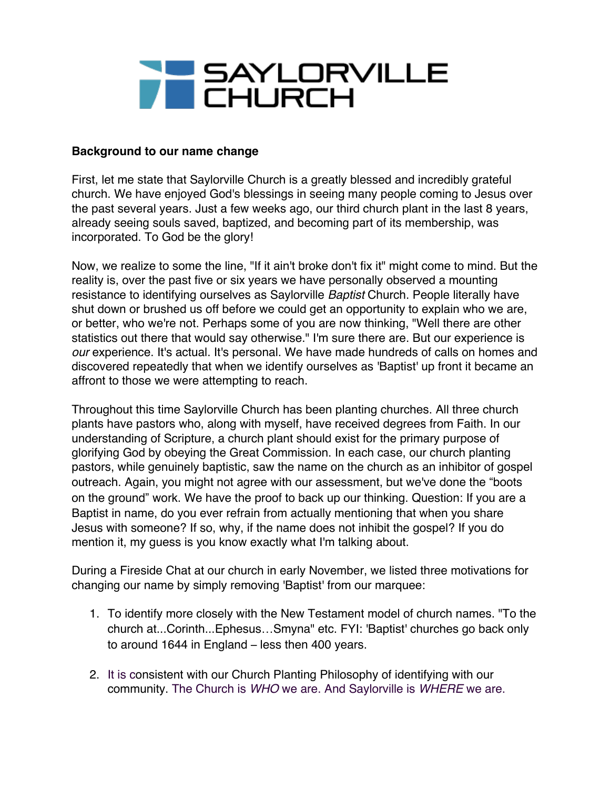

## **Background to our name change**

First, let me state that Saylorville Church is a greatly blessed and incredibly grateful church. We have enjoyed God's blessings in seeing many people coming to Jesus over the past several years. Just a few weeks ago, our third church plant in the last 8 years, already seeing souls saved, baptized, and becoming part of its membership, was incorporated. To God be the glory!

Now, we realize to some the line, "If it ain't broke don't fix it" might come to mind. But the reality is, over the past five or six years we have personally observed a mounting resistance to identifying ourselves as Saylorville *Baptist* Church. People literally have shut down or brushed us off before we could get an opportunity to explain who we are, or better, who we're not. Perhaps some of you are now thinking, "Well there are other statistics out there that would say otherwise." I'm sure there are. But our experience is *our* experience. It's actual. It's personal. We have made hundreds of calls on homes and discovered repeatedly that when we identify ourselves as 'Baptist' up front it became an affront to those we were attempting to reach.

Throughout this time Saylorville Church has been planting churches. All three church plants have pastors who, along with myself, have received degrees from Faith. In our understanding of Scripture, a church plant should exist for the primary purpose of glorifying God by obeying the Great Commission. In each case, our church planting pastors, while genuinely baptistic, saw the name on the church as an inhibitor of gospel outreach. Again, you might not agree with our assessment, but we've done the "boots on the ground" work. We have the proof to back up our thinking. Question: If you are a Baptist in name, do you ever refrain from actually mentioning that when you share Jesus with someone? If so, why, if the name does not inhibit the gospel? If you do mention it, my guess is you know exactly what I'm talking about.

During a Fireside Chat at our church in early November, we listed three motivations for changing our name by simply removing 'Baptist' from our marquee:

- 1. To identify more closely with the New Testament model of church names. "To the church at...Corinth...Ephesus…Smyna" etc. FYI: 'Baptist' churches go back only to around 1644 in England – less then 400 years.
- 2. It is consistent with our Church Planting Philosophy of identifying with our community. The Church is *WHO* we are. And Saylorville is *WHERE* we are.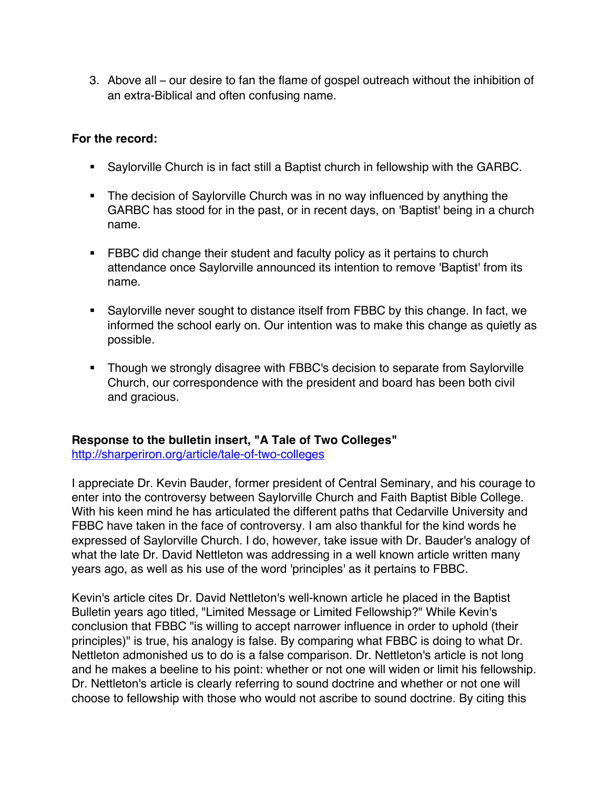3. Above all – our desire to fan the flame of gospel outreach without the inhibition of an extra-Biblical and often confusing name.

## **For the record:**

- Saylorville Church is in fact still a Baptist church in fellowship with the GARBC.
- The decision of Saylorville Church was in no way influenced by anything the GARBC has stood for in the past, or in recent days, on 'Baptist' being in a church name.
- **FBBC did change their student and faculty policy as it pertains to church** attendance once Saylorville announced its intention to remove 'Baptist' from its name.
- Saylorville never sought to distance itself from FBBC by this change. In fact, we informed the school early on. Our intention was to make this change as quietly as possible.
- Though we strongly disagree with FBBC's decision to separate from Saylorville Church, our correspondence with the president and board has been both civil and gracious.

## **Response to the bulletin insert, "A Tale of Two Colleges"**

http://sharperiron.org/article/tale-of-two-colleges

I appreciate Dr. Kevin Bauder, former president of Central Seminary, and his courage to enter into the controversy between Saylorville Church and Faith Baptist Bible College. With his keen mind he has articulated the different paths that Cedarville University and FBBC have taken in the face of controversy. I am also thankful for the kind words he expressed of Saylorville Church. I do, however, take issue with Dr. Bauder's analogy of what the late Dr. David Nettleton was addressing in a well known article written many years ago, as well as his use of the word 'principles' as it pertains to FBBC.

Kevin's article cites Dr. David Nettleton's well-known article he placed in the Baptist Bulletin years ago titled, "Limited Message or Limited Fellowship?" While Kevin's conclusion that FBBC "is willing to accept narrower influence in order to uphold (their principles)" is true, his analogy is false. By comparing what FBBC is doing to what Dr. Nettleton admonished us to do is a false comparison. Dr. Nettleton's article is not long and he makes a beeline to his point: whether or not one will widen or limit his fellowship. Dr. Nettleton's article is clearly referring to sound doctrine and whether or not one will choose to fellowship with those who would not ascribe to sound doctrine. By citing this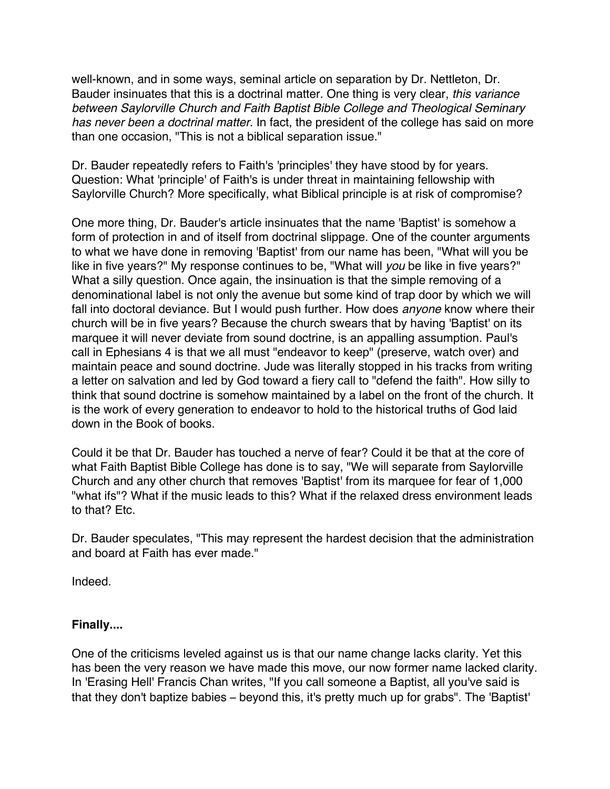well-known, and in some ways, seminal article on separation by Dr. Nettleton, Dr. Bauder insinuates that this is a doctrinal matter. One thing is very clear, *this variance between Saylorville Church and Faith Baptist Bible College and Theological Seminary has never been a doctrinal matter.* In fact, the president of the college has said on more than one occasion, "This is not a biblical separation issue."

Dr. Bauder repeatedly refers to Faith's 'principles' they have stood by for years. Question: What 'principle' of Faith's is under threat in maintaining fellowship with Saylorville Church? More specifically, what Biblical principle is at risk of compromise?

One more thing, Dr. Bauder's article insinuates that the name 'Baptist' is somehow a form of protection in and of itself from doctrinal slippage. One of the counter arguments to what we have done in removing 'Baptist' from our name has been, "What will you be like in five years?" My response continues to be, "What will *you* be like in five years?" What a silly question. Once again, the insinuation is that the simple removing of a denominational label is not only the avenue but some kind of trap door by which we will fall into doctoral deviance. But I would push further. How does *anyone* know where their church will be in five years? Because the church swears that by having 'Baptist' on its marquee it will never deviate from sound doctrine, is an appalling assumption. Paul's call in Ephesians 4 is that we all must "endeavor to keep" (preserve, watch over) and maintain peace and sound doctrine. Jude was literally stopped in his tracks from writing a letter on salvation and led by God toward a fiery call to "defend the faith". How silly to think that sound doctrine is somehow maintained by a label on the front of the church. It is the work of every generation to endeavor to hold to the historical truths of God laid down in the Book of books.

Could it be that Dr. Bauder has touched a nerve of fear? Could it be that at the core of what Faith Baptist Bible College has done is to say, "We will separate from Saylorville Church and any other church that removes 'Baptist' from its marquee for fear of 1,000 "what ifs"? What if the music leads to this? What if the relaxed dress environment leads to that? Etc.

Dr. Bauder speculates, "This may represent the hardest decision that the administration and board at Faith has ever made."

Indeed.

## **Finally....**

One of the criticisms leveled against us is that our name change lacks clarity. Yet this has been the very reason we have made this move, our now former name lacked clarity. In 'Erasing Hell' Francis Chan writes, "If you call someone a Baptist, all you've said is that they don't baptize babies – beyond this, it's pretty much up for grabs". The 'Baptist'